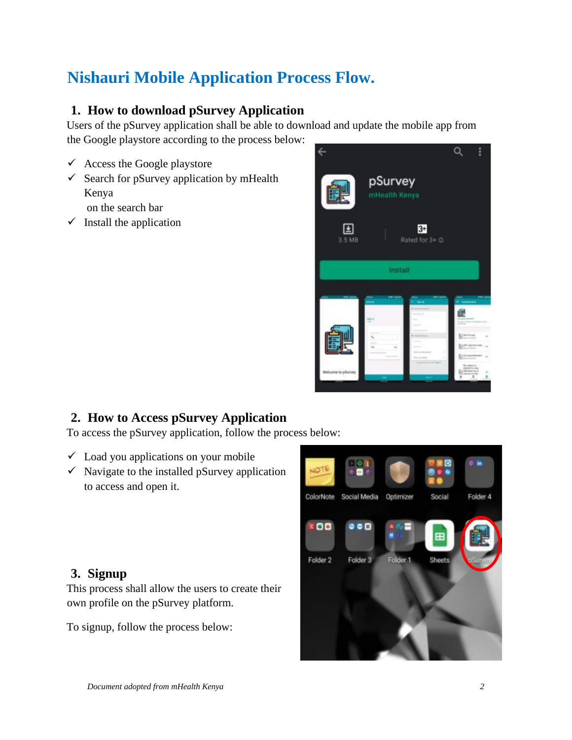# **Nishauri Mobile Application Process Flow.**

# **1. How to download pSurvey Application**

Users of the pSurvey application shall be able to download and update the mobile app from the Google playstore according to the process below:

- $\checkmark$  Access the Google playstore
- $\checkmark$  Search for pSurvey application by mHealth Kenya
	- on the search bar
- $\checkmark$  Install the application



# **2. How to Access pSurvey Application**

To access the pSurvey application, follow the process below:

- $\checkmark$  Load you applications on your mobile
- $\checkmark$  Navigate to the installed pSurvey application to access and open it.

#### **3. Signup**

This process shall allow the users to create their own profile on the pSurvey platform.

To signup, follow the process below:

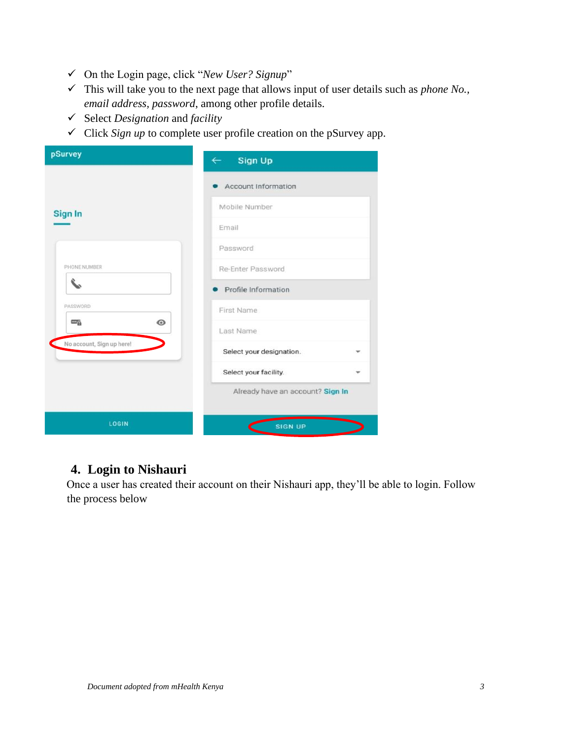- ✓ On the Login page, click "*New User? Signup*"
- ✓ This will take you to the next page that allows input of user details such as *phone No., email address, password*, among other profile details.
- ✓ Select *Designation* and *facility*
- ✓ Click *Sign up* to complete user profile creation on the pSurvey app.

| pSurvey                                    | $\leftarrow$ Sign Up             |  |
|--------------------------------------------|----------------------------------|--|
|                                            | Account Information              |  |
| <b>Sign In</b>                             | Mobile Number                    |  |
|                                            | Email                            |  |
|                                            | Password                         |  |
| PHONE NUMBER                               | Re-Enter Password                |  |
|                                            | Profile Information              |  |
| PASSWORD                                   | First Name                       |  |
| $\odot$<br>$\mathbb{Z}_{\widehat{\Theta}}$ | Last Name                        |  |
| No account, Sign up here!                  | Select your designation.         |  |
|                                            | Select your facility.            |  |
|                                            | Already have an account? Sign In |  |
| LOGIN                                      | <b>SIGN UP</b>                   |  |

# **4. Login to Nishauri**

Once a user has created their account on their Nishauri app, they'll be able to login. Follow the process below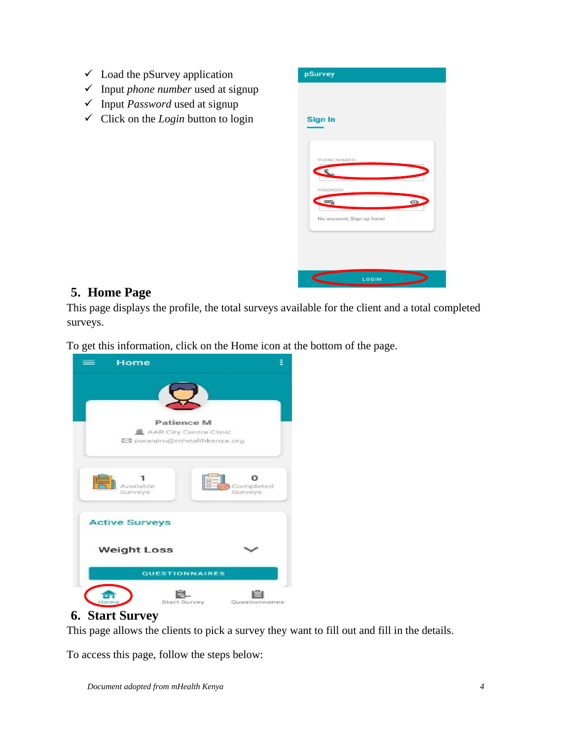- $\checkmark$  Load the pSurvey application
- ✓ Input *phone number* used at signup
- ✓ Input *Password* used at signup
- $\checkmark$  Click on the *Login* button to login

| <b>Sign In</b> |                                            |       |         |  |
|----------------|--------------------------------------------|-------|---------|--|
|                |                                            |       |         |  |
|                | PHONE NUMBER<br><b>COL</b><br>PASSWORD     |       |         |  |
|                | $\frac{1}{2}$<br>No account, Sign up here! |       | $\odot$ |  |
|                |                                            |       |         |  |
| ⊂              |                                            | LOGIN |         |  |

#### **5. Home Page**

This page displays the profile, the total surveys available for the client and a total completed surveys.

To get this information, click on the Home icon at the bottom of the page.



# **6. Start Survey**

This page allows the clients to pick a survey they want to fill out and fill in the details.

To access this page, follow the steps below: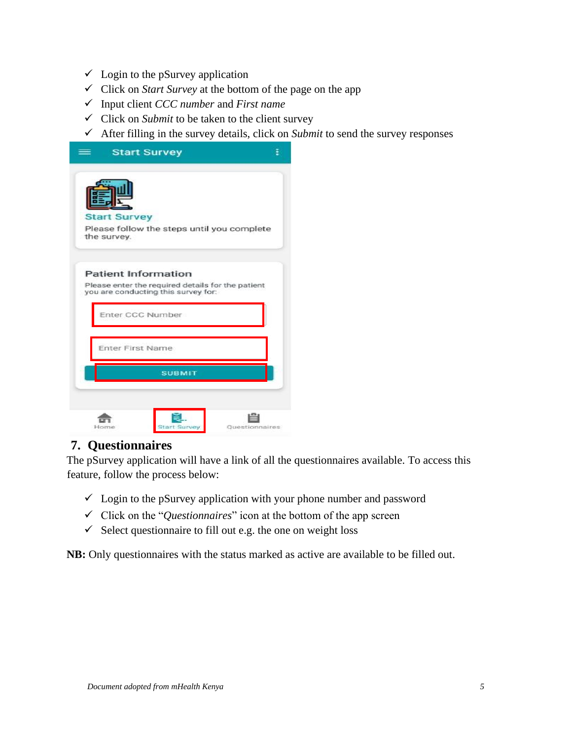- $\checkmark$  Login to the pSurvey application
- ✓ Click on *Start Survey* at the bottom of the page on the app
- ✓ Input client *CCC number* and *First name*
- ✓ Click on *Submit* to be taken to the client survey
- $\checkmark$  After filling in the survey details, click on *Submit* to send the survey responses

|                     | <b>Start Survey</b>                                                                      |  |
|---------------------|------------------------------------------------------------------------------------------|--|
|                     |                                                                                          |  |
| <b>Start Survey</b> |                                                                                          |  |
| the survey.         | Please follow the steps until you complete                                               |  |
|                     | <b>Patient Information</b>                                                               |  |
|                     | Please enter the required details for the patient<br>you are conducting this survey for: |  |
|                     | Enter CCC Number                                                                         |  |
|                     | <b>Enter First Name</b>                                                                  |  |
|                     | <b>SUBMIT</b>                                                                            |  |
|                     |                                                                                          |  |
|                     |                                                                                          |  |

#### **7. Questionnaires**

The pSurvey application will have a link of all the questionnaires available. To access this feature, follow the process below:

- $\checkmark$  Login to the pSurvey application with your phone number and password
- ✓ Click on the "*Questionnaires*" icon at the bottom of the app screen
- $\checkmark$  Select questionnaire to fill out e.g. the one on weight loss

**NB:** Only questionnaires with the status marked as active are available to be filled out.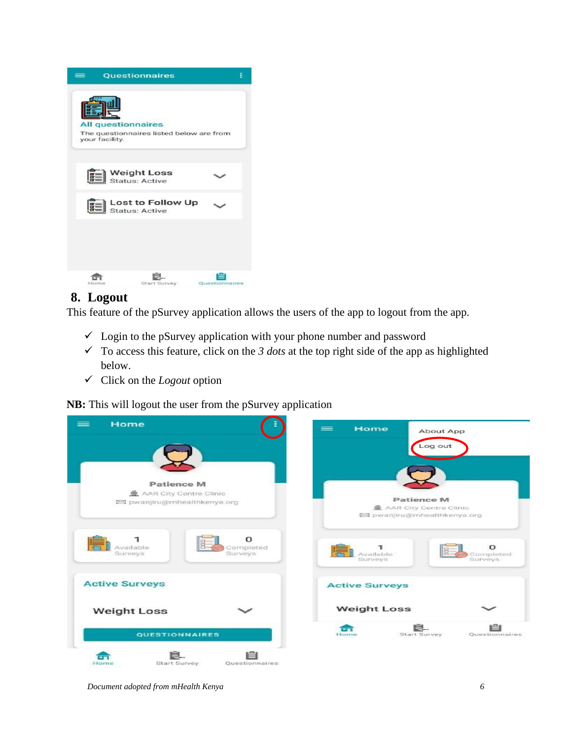

# **8. Logout**

This feature of the pSurvey application allows the users of the app to logout from the app.

- $\checkmark$  Login to the pSurvey application with your phone number and password
- $\checkmark$  To access this feature, click on the 3 *dots* at the top right side of the app as highlighted below.
- ✓ Click on the *Logout* option

**NB:** This will logout the user from the pSurvey application



*Document adopted from mHealth Kenya 6*